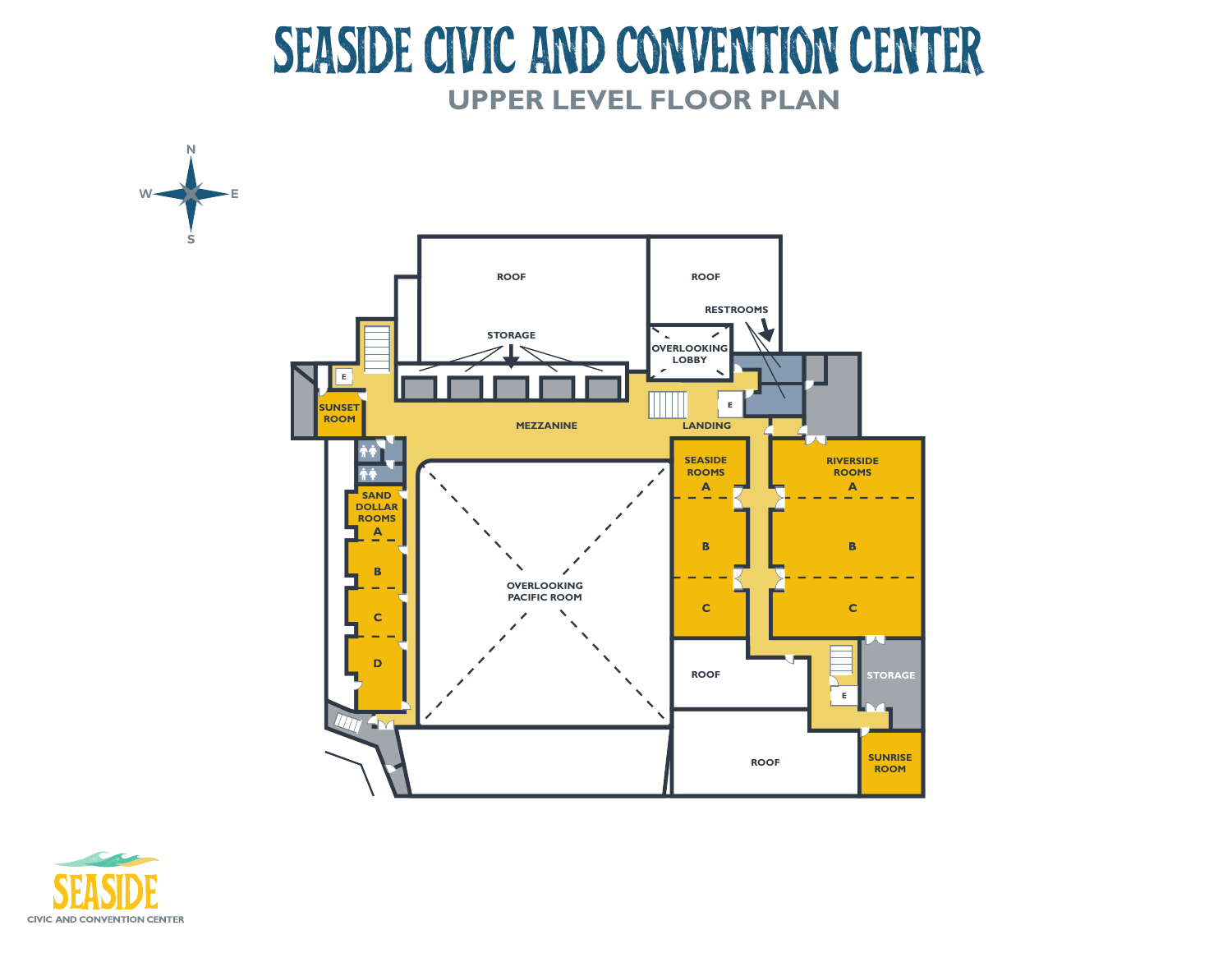## SEASIDE CIVIC AND CONVENTION CENTER **UPPER LEVEL FLOOR PLAN**